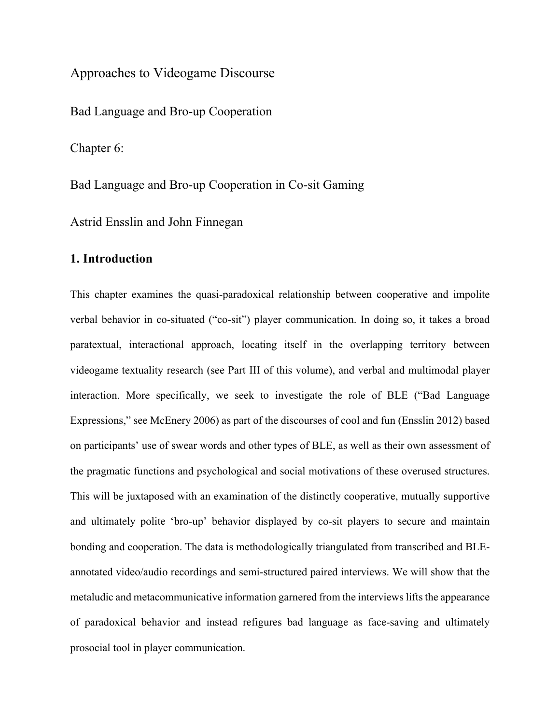# Approaches to Videogame Discourse

Bad Language and Bro-up Cooperation

Chapter 6:

Bad Language and Bro-up Cooperation in Co-sit Gaming

Astrid Ensslin and John Finnegan

## **1. Introduction**

This chapter examines the quasi-paradoxical relationship between cooperative and impolite verbal behavior in co-situated ("co-sit") player communication. In doing so, it takes a broad paratextual, interactional approach, locating itself in the overlapping territory between videogame textuality research (see Part III of this volume), and verbal and multimodal player interaction. More specifically, we seek to investigate the role of BLE ("Bad Language Expressions," see McEnery 2006) as part of the discourses of cool and fun (Ensslin 2012) based on participants' use of swear words and other types of BLE, as well as their own assessment of the pragmatic functions and psychological and social motivations of these overused structures. This will be juxtaposed with an examination of the distinctly cooperative, mutually supportive and ultimately polite 'bro-up' behavior displayed by co-sit players to secure and maintain bonding and cooperation. The data is methodologically triangulated from transcribed and BLEannotated video/audio recordings and semi-structured paired interviews. We will show that the metaludic and metacommunicative information garnered from the interviews lifts the appearance of paradoxical behavior and instead refigures bad language as face-saving and ultimately prosocial tool in player communication.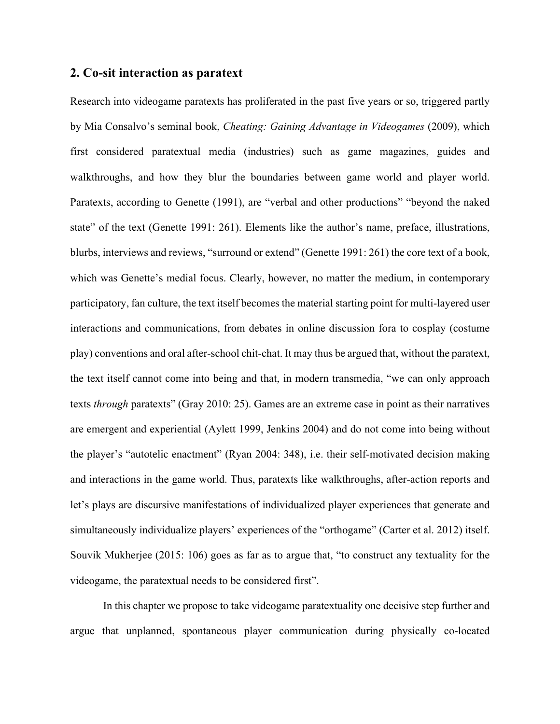# **2. Co-sit interaction as paratext**

Research into videogame paratexts has proliferated in the past five years or so, triggered partly by Mia Consalvo's seminal book, *Cheating: Gaining Advantage in Videogames* (2009), which first considered paratextual media (industries) such as game magazines, guides and walkthroughs, and how they blur the boundaries between game world and player world. Paratexts, according to Genette (1991), are "verbal and other productions" "beyond the naked state" of the text (Genette 1991: 261). Elements like the author's name, preface, illustrations, blurbs, interviews and reviews, "surround or extend" (Genette 1991: 261) the core text of a book, which was Genette's medial focus. Clearly, however, no matter the medium, in contemporary participatory, fan culture, the text itself becomes the material starting point for multi-layered user interactions and communications, from debates in online discussion fora to cosplay (costume play) conventions and oral after-school chit-chat. It may thus be argued that, without the paratext, the text itself cannot come into being and that, in modern transmedia, "we can only approach texts *through* paratexts" (Gray 2010: 25). Games are an extreme case in point as their narratives are emergent and experiential (Aylett 1999, Jenkins 2004) and do not come into being without the player's "autotelic enactment" (Ryan 2004: 348), i.e. their self-motivated decision making and interactions in the game world. Thus, paratexts like walkthroughs, after-action reports and let's plays are discursive manifestations of individualized player experiences that generate and simultaneously individualize players' experiences of the "orthogame" (Carter et al. 2012) itself. Souvik Mukherjee (2015: 106) goes as far as to argue that, "to construct any textuality for the videogame, the paratextual needs to be considered first".

In this chapter we propose to take videogame paratextuality one decisive step further and argue that unplanned, spontaneous player communication during physically co-located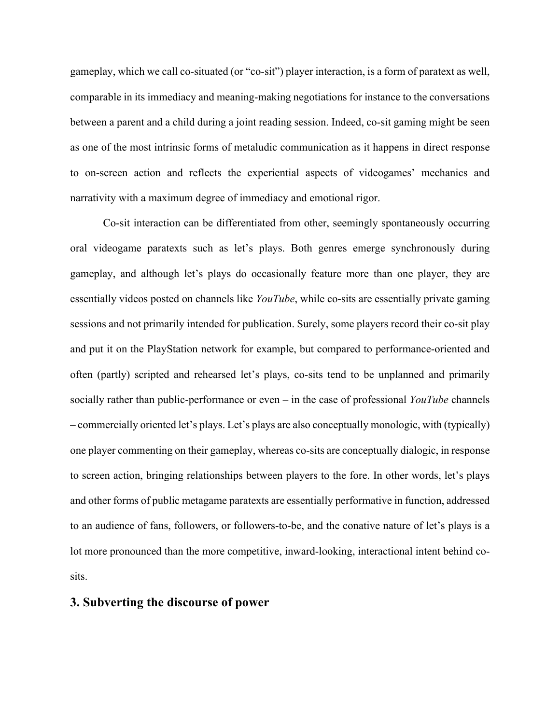gameplay, which we call co-situated (or "co-sit") player interaction, is a form of paratext as well, comparable in its immediacy and meaning-making negotiations for instance to the conversations between a parent and a child during a joint reading session. Indeed, co-sit gaming might be seen as one of the most intrinsic forms of metaludic communication as it happens in direct response to on-screen action and reflects the experiential aspects of videogames' mechanics and narrativity with a maximum degree of immediacy and emotional rigor.

Co-sit interaction can be differentiated from other, seemingly spontaneously occurring oral videogame paratexts such as let's plays. Both genres emerge synchronously during gameplay, and although let's plays do occasionally feature more than one player, they are essentially videos posted on channels like *YouTube*, while co-sits are essentially private gaming sessions and not primarily intended for publication. Surely, some players record their co-sit play and put it on the PlayStation network for example, but compared to performance-oriented and often (partly) scripted and rehearsed let's plays, co-sits tend to be unplanned and primarily socially rather than public-performance or even – in the case of professional *YouTube* channels – commercially oriented let's plays. Let's plays are also conceptually monologic, with (typically) one player commenting on their gameplay, whereas co-sits are conceptually dialogic, in response to screen action, bringing relationships between players to the fore. In other words, let's plays and other forms of public metagame paratexts are essentially performative in function, addressed to an audience of fans, followers, or followers-to-be, and the conative nature of let's plays is a lot more pronounced than the more competitive, inward-looking, interactional intent behind cosits.

#### **3. Subverting the discourse of power**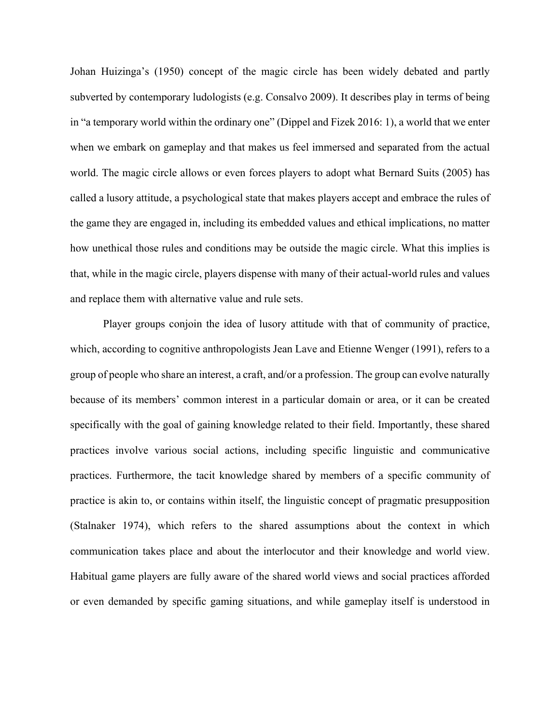Johan Huizinga's (1950) concept of the magic circle has been widely debated and partly subverted by contemporary ludologists (e.g. Consalvo 2009). It describes play in terms of being in "a temporary world within the ordinary one" (Dippel and Fizek 2016: 1), a world that we enter when we embark on gameplay and that makes us feel immersed and separated from the actual world. The magic circle allows or even forces players to adopt what Bernard Suits (2005) has called a lusory attitude, a psychological state that makes players accept and embrace the rules of the game they are engaged in, including its embedded values and ethical implications, no matter how unethical those rules and conditions may be outside the magic circle. What this implies is that, while in the magic circle, players dispense with many of their actual-world rules and values and replace them with alternative value and rule sets.

Player groups conjoin the idea of lusory attitude with that of community of practice, which, according to cognitive anthropologists Jean Lave and Etienne Wenger (1991), refers to a group of people who share an interest, a craft, and/or a profession. The group can evolve naturally because of its members' common interest in a particular domain or area, or it can be created specifically with the goal of gaining knowledge related to their field. Importantly, these shared practices involve various social actions, including specific linguistic and communicative practices. Furthermore, the tacit knowledge shared by members of a specific community of practice is akin to, or contains within itself, the linguistic concept of pragmatic presupposition (Stalnaker 1974), which refers to the shared assumptions about the context in which communication takes place and about the interlocutor and their knowledge and world view. Habitual game players are fully aware of the shared world views and social practices afforded or even demanded by specific gaming situations, and while gameplay itself is understood in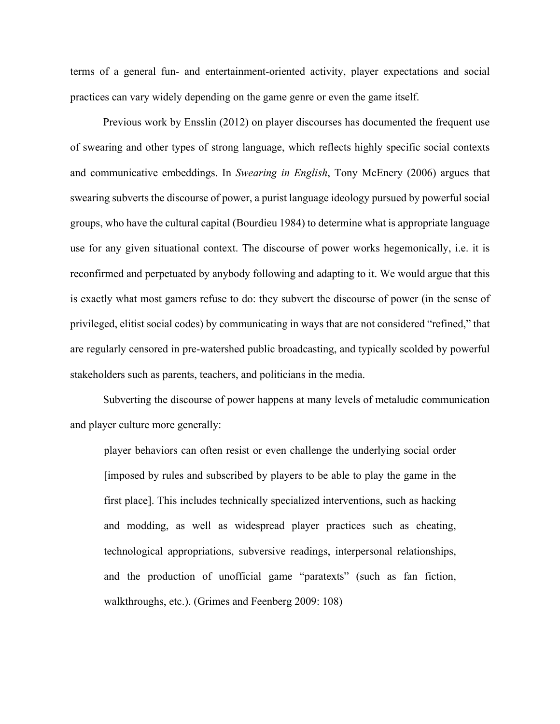terms of a general fun- and entertainment-oriented activity, player expectations and social practices can vary widely depending on the game genre or even the game itself.

Previous work by Ensslin (2012) on player discourses has documented the frequent use of swearing and other types of strong language, which reflects highly specific social contexts and communicative embeddings. In *Swearing in English*, Tony McEnery (2006) argues that swearing subverts the discourse of power, a purist language ideology pursued by powerful social groups, who have the cultural capital (Bourdieu 1984) to determine what is appropriate language use for any given situational context. The discourse of power works hegemonically, i.e. it is reconfirmed and perpetuated by anybody following and adapting to it. We would argue that this is exactly what most gamers refuse to do: they subvert the discourse of power (in the sense of privileged, elitist social codes) by communicating in ways that are not considered "refined," that are regularly censored in pre-watershed public broadcasting, and typically scolded by powerful stakeholders such as parents, teachers, and politicians in the media.

Subverting the discourse of power happens at many levels of metaludic communication and player culture more generally:

player behaviors can often resist or even challenge the underlying social order [imposed by rules and subscribed by players to be able to play the game in the first place]. This includes technically specialized interventions, such as hacking and modding, as well as widespread player practices such as cheating, technological appropriations, subversive readings, interpersonal relationships, and the production of unofficial game "paratexts" (such as fan fiction, walkthroughs, etc.). (Grimes and Feenberg 2009: 108)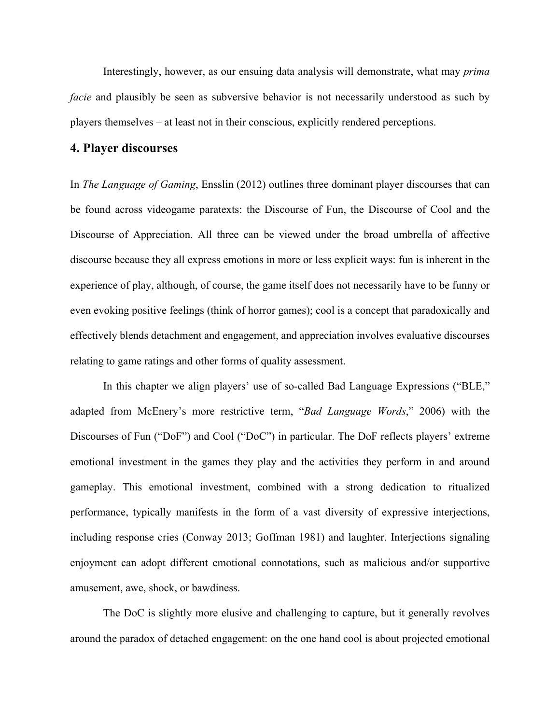Interestingly, however, as our ensuing data analysis will demonstrate, what may *prima facie* and plausibly be seen as subversive behavior is not necessarily understood as such by players themselves – at least not in their conscious, explicitly rendered perceptions.

#### **4. Player discourses**

In *The Language of Gaming*, Ensslin (2012) outlines three dominant player discourses that can be found across videogame paratexts: the Discourse of Fun, the Discourse of Cool and the Discourse of Appreciation. All three can be viewed under the broad umbrella of affective discourse because they all express emotions in more or less explicit ways: fun is inherent in the experience of play, although, of course, the game itself does not necessarily have to be funny or even evoking positive feelings (think of horror games); cool is a concept that paradoxically and effectively blends detachment and engagement, and appreciation involves evaluative discourses relating to game ratings and other forms of quality assessment.

In this chapter we align players' use of so-called Bad Language Expressions ("BLE," adapted from McEnery's more restrictive term, "*Bad Language Words*," 2006) with the Discourses of Fun ("DoF") and Cool ("DoC") in particular. The DoF reflects players' extreme emotional investment in the games they play and the activities they perform in and around gameplay. This emotional investment, combined with a strong dedication to ritualized performance, typically manifests in the form of a vast diversity of expressive interjections, including response cries (Conway 2013; Goffman 1981) and laughter. Interjections signaling enjoyment can adopt different emotional connotations, such as malicious and/or supportive amusement, awe, shock, or bawdiness.

The DoC is slightly more elusive and challenging to capture, but it generally revolves around the paradox of detached engagement: on the one hand cool is about projected emotional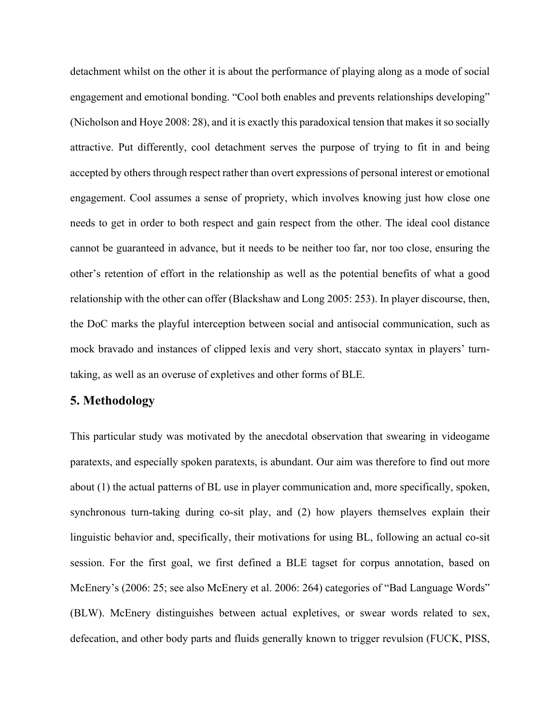detachment whilst on the other it is about the performance of playing along as a mode of social engagement and emotional bonding. "Cool both enables and prevents relationships developing" (Nicholson and Hoye 2008: 28), and it is exactly this paradoxical tension that makes it so socially attractive. Put differently, cool detachment serves the purpose of trying to fit in and being accepted by others through respect rather than overt expressions of personal interest or emotional engagement. Cool assumes a sense of propriety, which involves knowing just how close one needs to get in order to both respect and gain respect from the other. The ideal cool distance cannot be guaranteed in advance, but it needs to be neither too far, nor too close, ensuring the other's retention of effort in the relationship as well as the potential benefits of what a good relationship with the other can offer (Blackshaw and Long 2005: 253). In player discourse, then, the DoC marks the playful interception between social and antisocial communication, such as mock bravado and instances of clipped lexis and very short, staccato syntax in players' turntaking, as well as an overuse of expletives and other forms of BLE.

#### **5. Methodology**

This particular study was motivated by the anecdotal observation that swearing in videogame paratexts, and especially spoken paratexts, is abundant. Our aim was therefore to find out more about (1) the actual patterns of BL use in player communication and, more specifically, spoken, synchronous turn-taking during co-sit play, and (2) how players themselves explain their linguistic behavior and, specifically, their motivations for using BL, following an actual co-sit session. For the first goal, we first defined a BLE tagset for corpus annotation, based on McEnery's (2006: 25; see also McEnery et al. 2006: 264) categories of "Bad Language Words" (BLW). McEnery distinguishes between actual expletives, or swear words related to sex, defecation, and other body parts and fluids generally known to trigger revulsion (FUCK, PISS,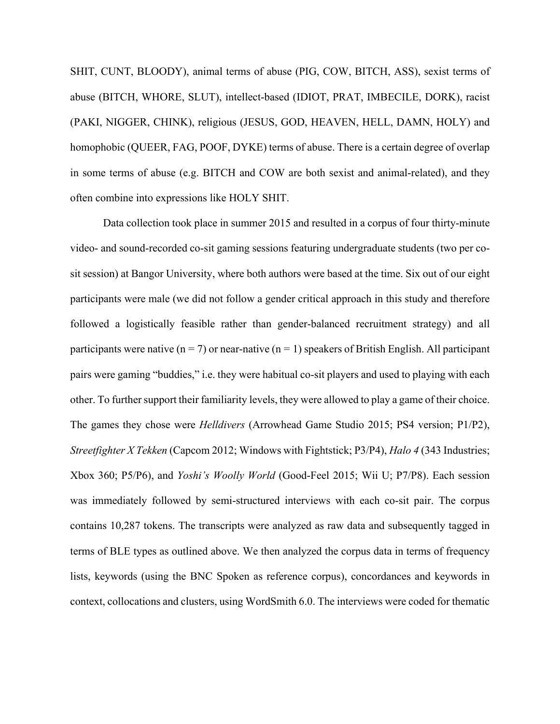SHIT, CUNT, BLOODY), animal terms of abuse (PIG, COW, BITCH, ASS), sexist terms of abuse (BITCH, WHORE, SLUT), intellect-based (IDIOT, PRAT, IMBECILE, DORK), racist (PAKI, NIGGER, CHINK), religious (JESUS, GOD, HEAVEN, HELL, DAMN, HOLY) and homophobic (QUEER, FAG, POOF, DYKE) terms of abuse. There is a certain degree of overlap in some terms of abuse (e.g. BITCH and COW are both sexist and animal-related), and they often combine into expressions like HOLY SHIT.

Data collection took place in summer 2015 and resulted in a corpus of four thirty-minute video- and sound-recorded co-sit gaming sessions featuring undergraduate students (two per cosit session) at Bangor University, where both authors were based at the time. Six out of our eight participants were male (we did not follow a gender critical approach in this study and therefore followed a logistically feasible rather than gender-balanced recruitment strategy) and all participants were native ( $n = 7$ ) or near-native ( $n = 1$ ) speakers of British English. All participant pairs were gaming "buddies," i.e. they were habitual co-sit players and used to playing with each other. To further support their familiarity levels, they were allowed to play a game of their choice. The games they chose were *Helldivers* (Arrowhead Game Studio 2015; PS4 version; P1/P2), *Streetfighter X Tekken* (Capcom 2012; Windows with Fightstick; P3/P4), *Halo 4* (343 Industries; Xbox 360; P5/P6), and *Yoshi's Woolly World* (Good-Feel 2015; Wii U; P7/P8). Each session was immediately followed by semi-structured interviews with each co-sit pair. The corpus contains 10,287 tokens. The transcripts were analyzed as raw data and subsequently tagged in terms of BLE types as outlined above. We then analyzed the corpus data in terms of frequency lists, keywords (using the BNC Spoken as reference corpus), concordances and keywords in context, collocations and clusters, using WordSmith 6.0. The interviews were coded for thematic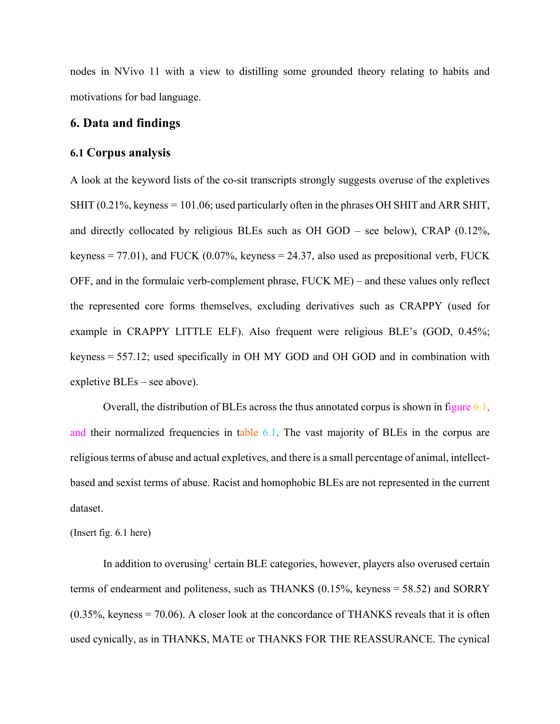nodes in NVivo 11 with a view to distilling some grounded theory relating to habits and motivations for bad language.

### **6. Data and findings**

#### **6.1 Corpus analysis**

A look at the keyword lists of the co-sit transcripts strongly suggests overuse of the expletives SHIT (0.21%, keyness = 101.06; used particularly often in the phrases OH SHIT and ARR SHIT, and directly collocated by religious BLEs such as OH GOD – see below), CRAP (0.12%, keyness = 77.01), and FUCK  $(0.07\%$ , keyness = 24.37, also used as prepositional verb, FUCK OFF, and in the formulaic verb-complement phrase, FUCK ME) – and these values only reflect the represented core forms themselves, excluding derivatives such as CRAPPY (used for example in CRAPPY LITTLE ELF). Also frequent were religious BLE's (GOD, 0.45%; keyness = 557.12; used specifically in OH MY GOD and OH GOD and in combination with expletive BLEs – see above).

Overall, the distribution of BLEs across the thus annotated corpus is shown in figure 6.1, and their normalized frequencies in table 6.1. The vast majority of BLEs in the corpus are religious terms of abuse and actual expletives, and there is a small percentage of animal, intellectbased and sexist terms of abuse. Racist and homophobic BLEs are not represented in the current dataset.

(Insert fig. 6.1 here)

In addition to overusing<sup>1</sup> certain BLE categories, however, players also overused certain terms of endearment and politeness, such as THANKS (0.15%, keyness = 58.52) and SORRY  $(0.35\%$ , keyness = 70.06). A closer look at the concordance of THANKS reveals that it is often used cynically, as in THANKS, MATE or THANKS FOR THE REASSURANCE. The cynical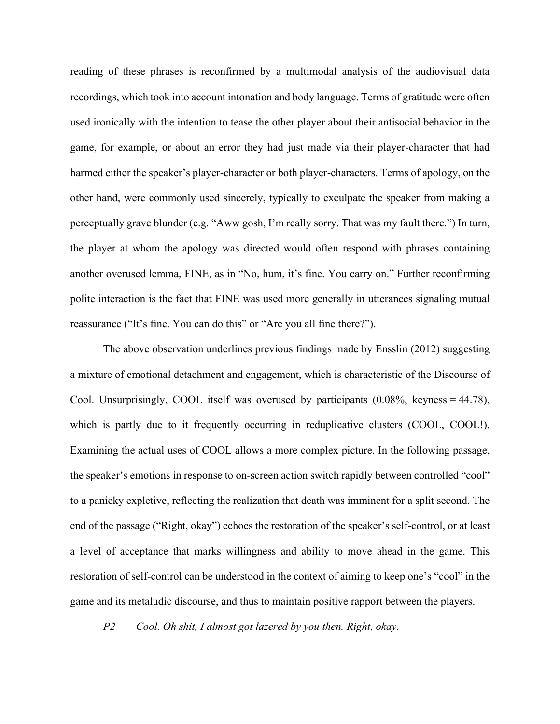reading of these phrases is reconfirmed by a multimodal analysis of the audiovisual data recordings, which took into account intonation and body language. Terms of gratitude were often used ironically with the intention to tease the other player about their antisocial behavior in the game, for example, or about an error they had just made via their player-character that had harmed either the speaker's player-character or both player-characters. Terms of apology, on the other hand, were commonly used sincerely, typically to exculpate the speaker from making a perceptually grave blunder (e.g. "Aww gosh, I'm really sorry. That was my fault there.") In turn, the player at whom the apology was directed would often respond with phrases containing another overused lemma, FINE, as in "No, hum, it's fine. You carry on." Further reconfirming polite interaction is the fact that FINE was used more generally in utterances signaling mutual reassurance ("It's fine. You can do this" or "Are you all fine there?").

The above observation underlines previous findings made by Ensslin (2012) suggesting a mixture of emotional detachment and engagement, which is characteristic of the Discourse of Cool. Unsurprisingly, COOL itself was overused by participants  $(0.08\%$ , keyness = 44.78), which is partly due to it frequently occurring in reduplicative clusters (COOL, COOL!). Examining the actual uses of COOL allows a more complex picture. In the following passage, the speaker's emotions in response to on-screen action switch rapidly between controlled "cool" to a panicky expletive, reflecting the realization that death was imminent for a split second. The end of the passage ("Right, okay") echoes the restoration of the speaker's self-control, or at least a level of acceptance that marks willingness and ability to move ahead in the game. This restoration of self-control can be understood in the context of aiming to keep one's "cool" in the game and its metaludic discourse, and thus to maintain positive rapport between the players.

*P2 Cool. Oh shit, I almost got lazered by you then. Right, okay.*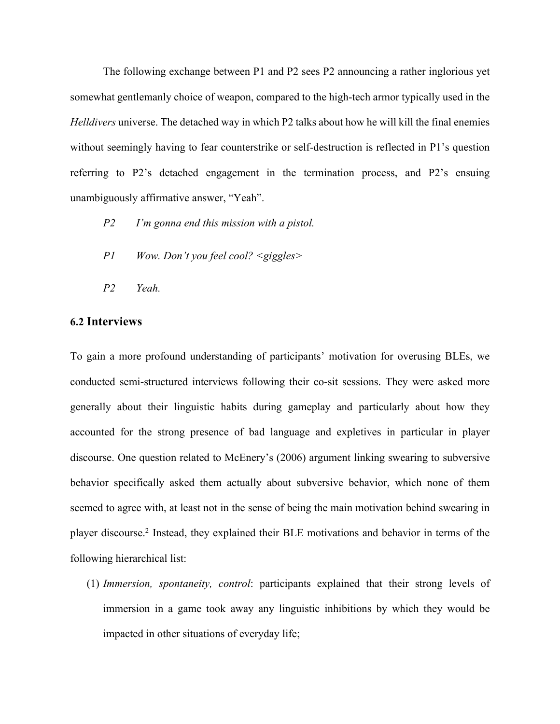The following exchange between P1 and P2 sees P2 announcing a rather inglorious yet somewhat gentlemanly choice of weapon, compared to the high-tech armor typically used in the *Helldivers* universe. The detached way in which P2 talks about how he will kill the final enemies without seemingly having to fear counterstrike or self-destruction is reflected in P1's question referring to P2's detached engagement in the termination process, and P2's ensuing unambiguously affirmative answer, "Yeah".

- *P2 I'm gonna end this mission with a pistol.*
- *P1 Wow. Don't you feel cool? <giggles>*
- *P2 Yeah.*

### **6.2 Interviews**

To gain a more profound understanding of participants' motivation for overusing BLEs, we conducted semi-structured interviews following their co-sit sessions. They were asked more generally about their linguistic habits during gameplay and particularly about how they accounted for the strong presence of bad language and expletives in particular in player discourse. One question related to McEnery's (2006) argument linking swearing to subversive behavior specifically asked them actually about subversive behavior, which none of them seemed to agree with, at least not in the sense of being the main motivation behind swearing in player discourse.2 Instead, they explained their BLE motivations and behavior in terms of the following hierarchical list:

(1) *Immersion, spontaneity, control*: participants explained that their strong levels of immersion in a game took away any linguistic inhibitions by which they would be impacted in other situations of everyday life;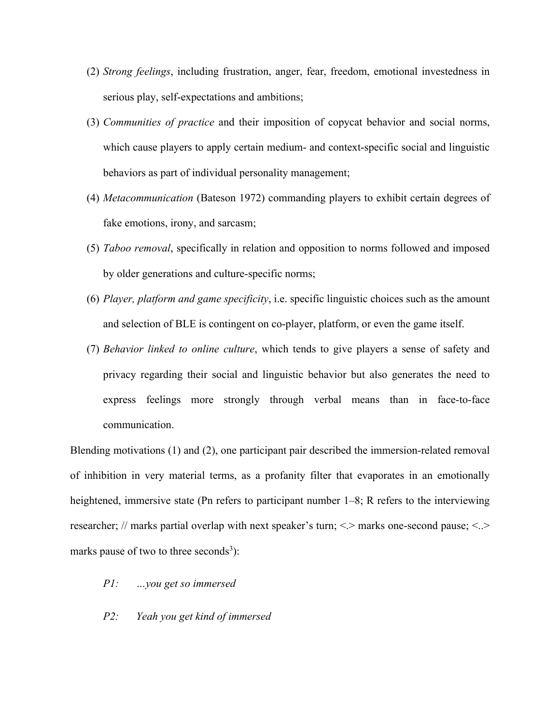- (2) *Strong feelings*, including frustration, anger, fear, freedom, emotional investedness in serious play, self-expectations and ambitions;
- (3) *Communities of practice* and their imposition of copycat behavior and social norms, which cause players to apply certain medium- and context-specific social and linguistic behaviors as part of individual personality management;
- (4) *Metacommunication* (Bateson 1972) commanding players to exhibit certain degrees of fake emotions, irony, and sarcasm;
- (5) *Taboo removal*, specifically in relation and opposition to norms followed and imposed by older generations and culture-specific norms;
- (6) *Player, platform and game specificity*, i.e. specific linguistic choices such as the amount and selection of BLE is contingent on co-player, platform, or even the game itself.
- (7) *Behavior linked to online culture*, which tends to give players a sense of safety and privacy regarding their social and linguistic behavior but also generates the need to express feelings more strongly through verbal means than in face-to-face communication.

Blending motivations (1) and (2), one participant pair described the immersion-related removal of inhibition in very material terms, as a profanity filter that evaporates in an emotionally heightened, immersive state (Pn refers to participant number 1–8; R refers to the interviewing researcher; // marks partial overlap with next speaker's turn; <.> marks one-second pause; <..> marks pause of two to three seconds<sup>3</sup>):

- *P1: …you get so immersed*
- *P2: Yeah you get kind of immersed*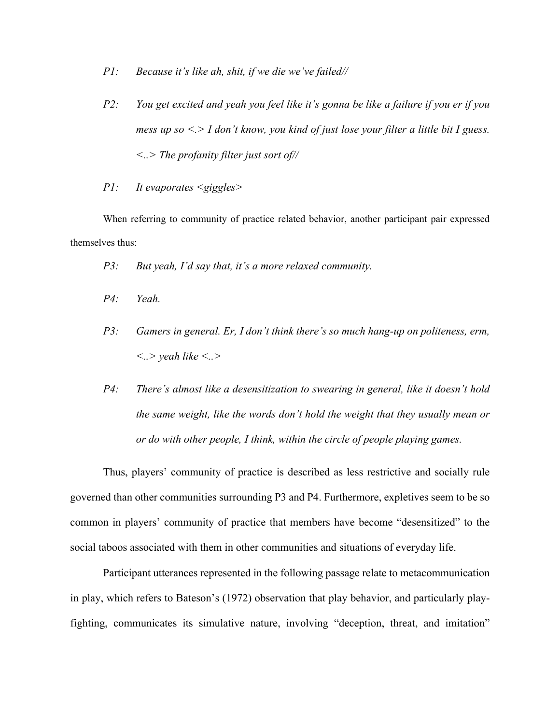*P1: Because it's like ah, shit, if we die we've failed//*

- *P2: You get excited and yeah you feel like it's gonna be like a failure if you er if you mess up so <.> I don't know, you kind of just lose your filter a little bit I guess. <..> The profanity filter just sort of//*
- *P1: It evaporates <giggles>*

When referring to community of practice related behavior, another participant pair expressed themselves thus:

- *P3: But yeah, I'd say that, it's a more relaxed community.*
- *P4: Yeah.*
- *P3: Gamers in general. Er, I don't think there's so much hang-up on politeness, erm, <..> yeah like <..>*
- *P4: There's almost like a desensitization to swearing in general, like it doesn't hold the same weight, like the words don't hold the weight that they usually mean or or do with other people, I think, within the circle of people playing games.*

Thus, players' community of practice is described as less restrictive and socially rule governed than other communities surrounding P3 and P4. Furthermore, expletives seem to be so common in players' community of practice that members have become "desensitized" to the social taboos associated with them in other communities and situations of everyday life.

Participant utterances represented in the following passage relate to metacommunication in play, which refers to Bateson's (1972) observation that play behavior, and particularly playfighting, communicates its simulative nature, involving "deception, threat, and imitation"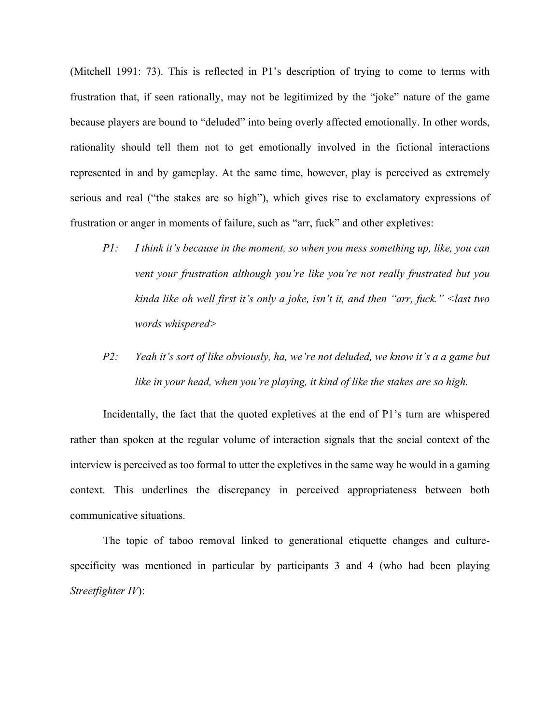(Mitchell 1991: 73). This is reflected in P1's description of trying to come to terms with frustration that, if seen rationally, may not be legitimized by the "joke" nature of the game because players are bound to "deluded" into being overly affected emotionally. In other words, rationality should tell them not to get emotionally involved in the fictional interactions represented in and by gameplay. At the same time, however, play is perceived as extremely serious and real ("the stakes are so high"), which gives rise to exclamatory expressions of frustration or anger in moments of failure, such as "arr, fuck" and other expletives:

- *P1: I think it's because in the moment, so when you mess something up, like, you can vent your frustration although you're like you're not really frustrated but you kinda like oh well first it's only a joke, isn't it, and then "arr, fuck." <last two words whispered>*
- *P2: Yeah it's sort of like obviously, ha, we're not deluded, we know it's a a game but like in your head, when you're playing, it kind of like the stakes are so high.*

Incidentally, the fact that the quoted expletives at the end of P1's turn are whispered rather than spoken at the regular volume of interaction signals that the social context of the interview is perceived as too formal to utter the expletives in the same way he would in a gaming context. This underlines the discrepancy in perceived appropriateness between both communicative situations.

The topic of taboo removal linked to generational etiquette changes and culturespecificity was mentioned in particular by participants 3 and 4 (who had been playing *Streetfighter IV*):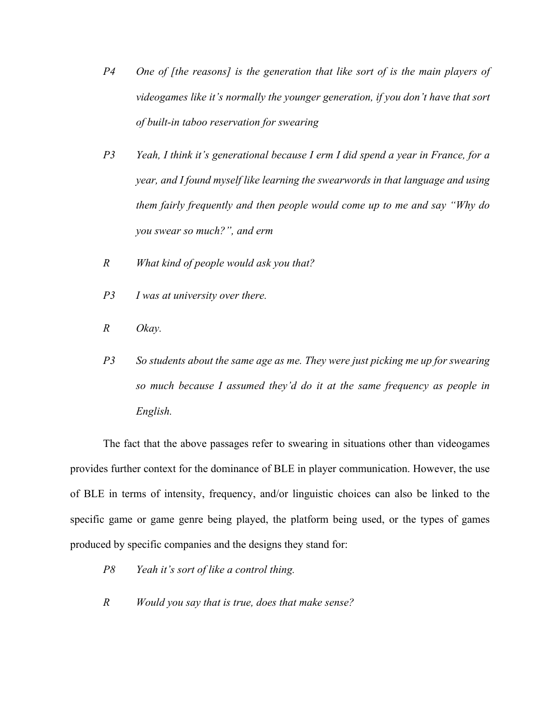- *P4 One of [the reasons] is the generation that like sort of is the main players of videogames like it's normally the younger generation, if you don't have that sort of built-in taboo reservation for swearing*
- *P3 Yeah, I think it's generational because I erm I did spend a year in France, for a year, and I found myself like learning the swearwords in that language and using them fairly frequently and then people would come up to me and say "Why do you swear so much?", and erm*
- *R What kind of people would ask you that?*
- *P3 I was at university over there.*
- *R Okay.*
- *P3 So students about the same age as me. They were just picking me up for swearing so much because I assumed they'd do it at the same frequency as people in English.*

The fact that the above passages refer to swearing in situations other than videogames provides further context for the dominance of BLE in player communication. However, the use of BLE in terms of intensity, frequency, and/or linguistic choices can also be linked to the specific game or game genre being played, the platform being used, or the types of games produced by specific companies and the designs they stand for:

- *P8 Yeah it's sort of like a control thing.*
- *R Would you say that is true, does that make sense?*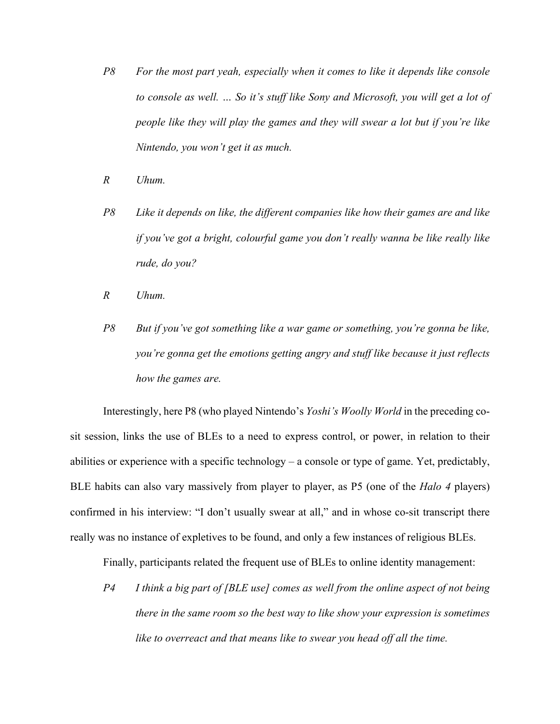- *P8 For the most part yeah, especially when it comes to like it depends like console to console as well. … So it's stuff like Sony and Microsoft, you will get a lot of people like they will play the games and they will swear a lot but if you're like Nintendo, you won't get it as much.*
- *R Uhum.*
- *P8 Like it depends on like, the different companies like how their games are and like if you've got a bright, colourful game you don't really wanna be like really like rude, do you?*
- *R Uhum.*
- *P8 But if you've got something like a war game or something, you're gonna be like, you're gonna get the emotions getting angry and stuff like because it just reflects how the games are.*

Interestingly, here P8 (who played Nintendo's *Yoshi's Woolly World* in the preceding cosit session, links the use of BLEs to a need to express control, or power, in relation to their abilities or experience with a specific technology – a console or type of game. Yet, predictably, BLE habits can also vary massively from player to player, as P5 (one of the *Halo 4* players) confirmed in his interview: "I don't usually swear at all," and in whose co-sit transcript there really was no instance of expletives to be found, and only a few instances of religious BLEs.

Finally, participants related the frequent use of BLEs to online identity management:

*P4 I think a big part of [BLE use] comes as well from the online aspect of not being there in the same room so the best way to like show your expression is sometimes like to overreact and that means like to swear you head off all the time.*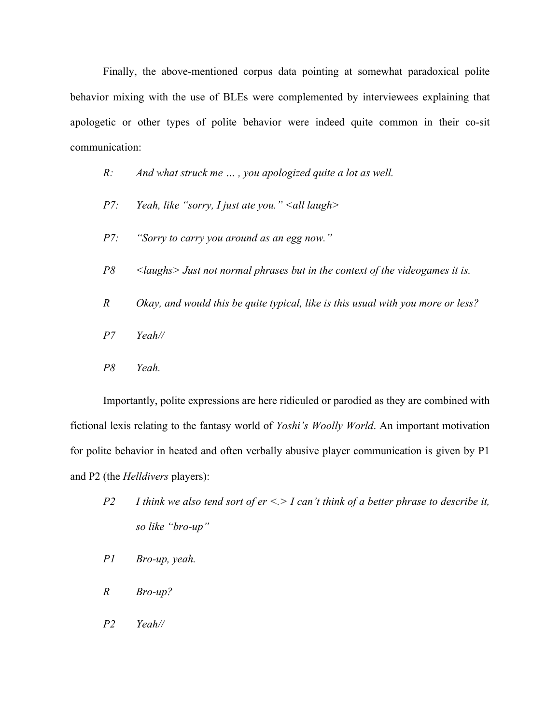Finally, the above-mentioned corpus data pointing at somewhat paradoxical polite behavior mixing with the use of BLEs were complemented by interviewees explaining that apologetic or other types of polite behavior were indeed quite common in their co-sit communication:

- *R: And what struck me … , you apologized quite a lot as well.*
- *P7: Yeah, like "sorry, I just ate you." <all laugh>*
- *P7: "Sorry to carry you around as an egg now."*
- *P8 <laughs> Just not normal phrases but in the context of the videogames it is.*
- *R Okay, and would this be quite typical, like is this usual with you more or less?*
- *P7 Yeah//*
- *P8 Yeah.*

Importantly, polite expressions are here ridiculed or parodied as they are combined with fictional lexis relating to the fantasy world of *Yoshi's Woolly World*. An important motivation for polite behavior in heated and often verbally abusive player communication is given by P1 and P2 (the *Helldivers* players):

- *P2 I think we also tend sort of er <.> I can't think of a better phrase to describe it, so like "bro-up"*
- *P1 Bro-up, yeah.*
- *R Bro-up?*
- *P2 Yeah//*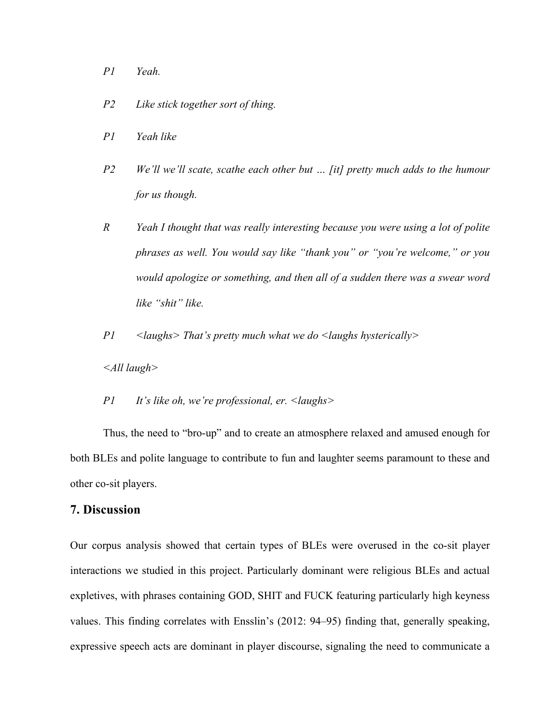*P1 Yeah.*

- *P2 Like stick together sort of thing.*
- *P1 Yeah like*
- *P2 We'll we'll scate, scathe each other but … [it] pretty much adds to the humour for us though.*
- *R Yeah I thought that was really interesting because you were using a lot of polite phrases as well. You would say like "thank you" or "you're welcome," or you would apologize or something, and then all of a sudden there was a swear word like "shit" like.*
- *P1 <laughs> That's pretty much what we do <laughs hysterically>*

*<All laugh>*

*P1 It's like oh, we're professional, er. <laughs>*

Thus, the need to "bro-up" and to create an atmosphere relaxed and amused enough for both BLEs and polite language to contribute to fun and laughter seems paramount to these and other co-sit players.

## **7. Discussion**

Our corpus analysis showed that certain types of BLEs were overused in the co-sit player interactions we studied in this project. Particularly dominant were religious BLEs and actual expletives, with phrases containing GOD, SHIT and FUCK featuring particularly high keyness values. This finding correlates with Ensslin's (2012: 94–95) finding that, generally speaking, expressive speech acts are dominant in player discourse, signaling the need to communicate a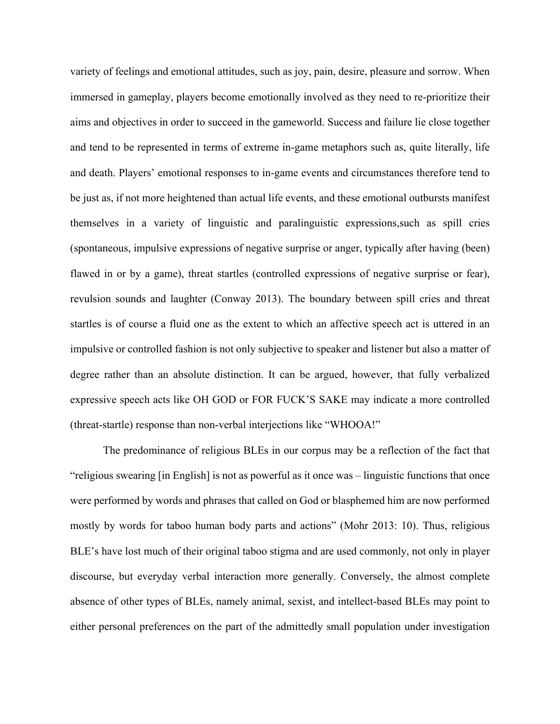variety of feelings and emotional attitudes, such as joy, pain, desire, pleasure and sorrow. When immersed in gameplay, players become emotionally involved as they need to re-prioritize their aims and objectives in order to succeed in the gameworld. Success and failure lie close together and tend to be represented in terms of extreme in-game metaphors such as, quite literally, life and death. Players' emotional responses to in-game events and circumstances therefore tend to be just as, if not more heightened than actual life events, and these emotional outbursts manifest themselves in a variety of linguistic and paralinguistic expressions,such as spill cries (spontaneous, impulsive expressions of negative surprise or anger, typically after having (been) flawed in or by a game), threat startles (controlled expressions of negative surprise or fear), revulsion sounds and laughter (Conway 2013). The boundary between spill cries and threat startles is of course a fluid one as the extent to which an affective speech act is uttered in an impulsive or controlled fashion is not only subjective to speaker and listener but also a matter of degree rather than an absolute distinction. It can be argued, however, that fully verbalized expressive speech acts like OH GOD or FOR FUCK'S SAKE may indicate a more controlled (threat-startle) response than non-verbal interjections like "WHOOA!"

The predominance of religious BLEs in our corpus may be a reflection of the fact that "religious swearing [in English] is not as powerful as it once was – linguistic functions that once were performed by words and phrases that called on God or blasphemed him are now performed mostly by words for taboo human body parts and actions" (Mohr 2013: 10). Thus, religious BLE's have lost much of their original taboo stigma and are used commonly, not only in player discourse, but everyday verbal interaction more generally. Conversely, the almost complete absence of other types of BLEs, namely animal, sexist, and intellect-based BLEs may point to either personal preferences on the part of the admittedly small population under investigation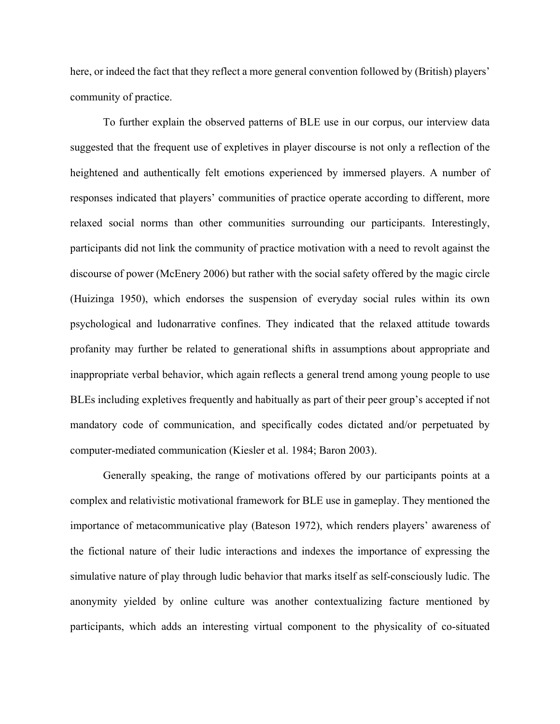here, or indeed the fact that they reflect a more general convention followed by (British) players' community of practice.

To further explain the observed patterns of BLE use in our corpus, our interview data suggested that the frequent use of expletives in player discourse is not only a reflection of the heightened and authentically felt emotions experienced by immersed players. A number of responses indicated that players' communities of practice operate according to different, more relaxed social norms than other communities surrounding our participants. Interestingly, participants did not link the community of practice motivation with a need to revolt against the discourse of power (McEnery 2006) but rather with the social safety offered by the magic circle (Huizinga 1950), which endorses the suspension of everyday social rules within its own psychological and ludonarrative confines. They indicated that the relaxed attitude towards profanity may further be related to generational shifts in assumptions about appropriate and inappropriate verbal behavior, which again reflects a general trend among young people to use BLEs including expletives frequently and habitually as part of their peer group's accepted if not mandatory code of communication, and specifically codes dictated and/or perpetuated by computer-mediated communication (Kiesler et al. 1984; Baron 2003).

Generally speaking, the range of motivations offered by our participants points at a complex and relativistic motivational framework for BLE use in gameplay. They mentioned the importance of metacommunicative play (Bateson 1972), which renders players' awareness of the fictional nature of their ludic interactions and indexes the importance of expressing the simulative nature of play through ludic behavior that marks itself as self-consciously ludic. The anonymity yielded by online culture was another contextualizing facture mentioned by participants, which adds an interesting virtual component to the physicality of co-situated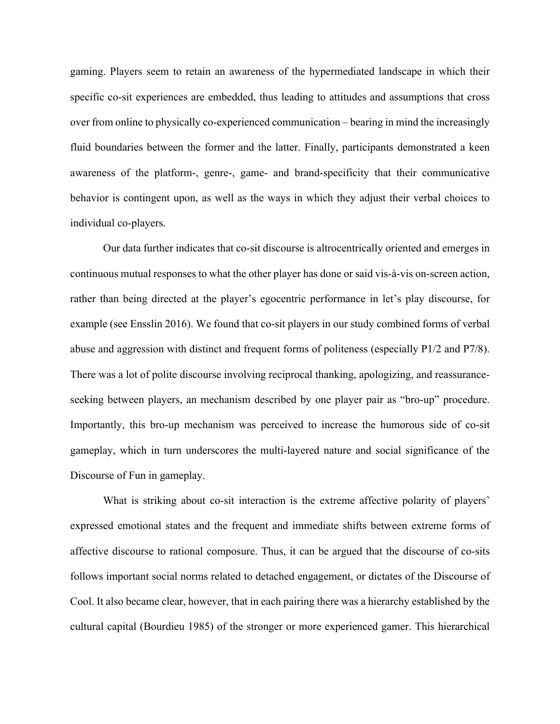gaming. Players seem to retain an awareness of the hypermediated landscape in which their specific co-sit experiences are embedded, thus leading to attitudes and assumptions that cross over from online to physically co-experienced communication – bearing in mind the increasingly fluid boundaries between the former and the latter. Finally, participants demonstrated a keen awareness of the platform-, genre-, game- and brand-specificity that their communicative behavior is contingent upon, as well as the ways in which they adjust their verbal choices to individual co-players.

Our data further indicates that co-sit discourse is altrocentrically oriented and emerges in continuous mutual responses to what the other player has done or said vis-à-vis on-screen action, rather than being directed at the player's egocentric performance in let's play discourse, for example (see Ensslin 2016). We found that co-sit players in our study combined forms of verbal abuse and aggression with distinct and frequent forms of politeness (especially P1/2 and P7/8). There was a lot of polite discourse involving reciprocal thanking, apologizing, and reassuranceseeking between players, an mechanism described by one player pair as "bro-up" procedure. Importantly, this bro-up mechanism was perceived to increase the humorous side of co-sit gameplay, which in turn underscores the multi-layered nature and social significance of the Discourse of Fun in gameplay.

What is striking about co-sit interaction is the extreme affective polarity of players' expressed emotional states and the frequent and immediate shifts between extreme forms of affective discourse to rational composure. Thus, it can be argued that the discourse of co-sits follows important social norms related to detached engagement, or dictates of the Discourse of Cool. It also became clear, however, that in each pairing there was a hierarchy established by the cultural capital (Bourdieu 1985) of the stronger or more experienced gamer. This hierarchical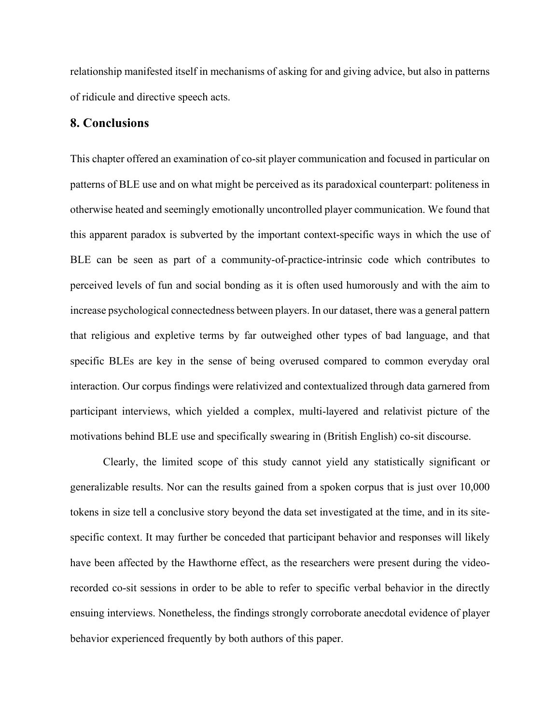relationship manifested itself in mechanisms of asking for and giving advice, but also in patterns of ridicule and directive speech acts.

#### **8. Conclusions**

This chapter offered an examination of co-sit player communication and focused in particular on patterns of BLE use and on what might be perceived as its paradoxical counterpart: politeness in otherwise heated and seemingly emotionally uncontrolled player communication. We found that this apparent paradox is subverted by the important context-specific ways in which the use of BLE can be seen as part of a community-of-practice-intrinsic code which contributes to perceived levels of fun and social bonding as it is often used humorously and with the aim to increase psychological connectedness between players. In our dataset, there was a general pattern that religious and expletive terms by far outweighed other types of bad language, and that specific BLEs are key in the sense of being overused compared to common everyday oral interaction. Our corpus findings were relativized and contextualized through data garnered from participant interviews, which yielded a complex, multi-layered and relativist picture of the motivations behind BLE use and specifically swearing in (British English) co-sit discourse.

Clearly, the limited scope of this study cannot yield any statistically significant or generalizable results. Nor can the results gained from a spoken corpus that is just over 10,000 tokens in size tell a conclusive story beyond the data set investigated at the time, and in its sitespecific context. It may further be conceded that participant behavior and responses will likely have been affected by the Hawthorne effect, as the researchers were present during the videorecorded co-sit sessions in order to be able to refer to specific verbal behavior in the directly ensuing interviews. Nonetheless, the findings strongly corroborate anecdotal evidence of player behavior experienced frequently by both authors of this paper.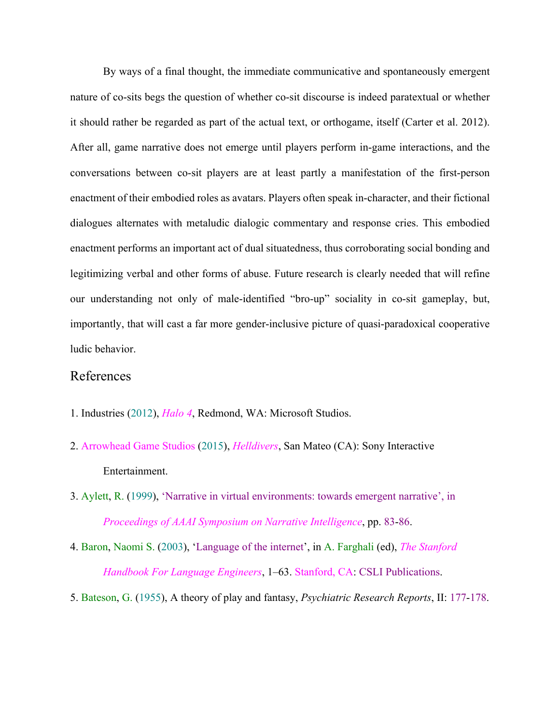By ways of a final thought, the immediate communicative and spontaneously emergent nature of co-sits begs the question of whether co-sit discourse is indeed paratextual or whether it should rather be regarded as part of the actual text, or orthogame, itself (Carter et al. 2012). After all, game narrative does not emerge until players perform in-game interactions, and the conversations between co-sit players are at least partly a manifestation of the first-person enactment of their embodied roles as avatars. Players often speak in-character, and their fictional dialogues alternates with metaludic dialogic commentary and response cries. This embodied enactment performs an important act of dual situatedness, thus corroborating social bonding and legitimizing verbal and other forms of abuse. Future research is clearly needed that will refine our understanding not only of male-identified "bro-up" sociality in co-sit gameplay, but, importantly, that will cast a far more gender-inclusive picture of quasi-paradoxical cooperative ludic behavior.

## References

- 1. Industries (2012), *Halo 4*, Redmond, WA: Microsoft Studios.
- 2. Arrowhead Game Studios (2015), *Helldivers*, San Mateo (CA): Sony Interactive Entertainment.
- 3. Aylett, R. (1999), 'Narrative in virtual environments: towards emergent narrative', in *Proceedings of AAAI Symposium on Narrative Intelligence*, pp. 83-86.
- 4. Baron, Naomi S. (2003), 'Language of the internet', in A. Farghali (ed), *The Stanford Handbook For Language Engineers*, 1–63. Stanford, CA: CSLI Publications.
- 5. Bateson, G. (1955), A theory of play and fantasy, *Psychiatric Research Reports*, II: 177-178.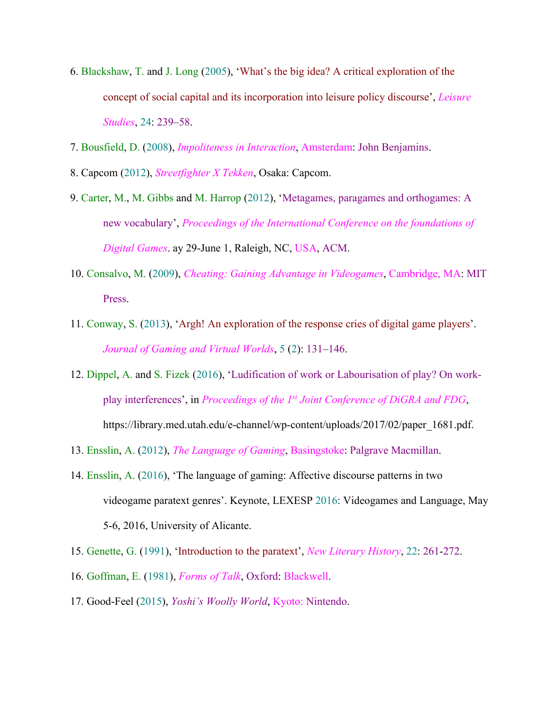- 6. Blackshaw, T. and J. Long (2005), 'What's the big idea? A critical exploration of the concept of social capital and its incorporation into leisure policy discourse', *Leisure Studies*, 24: 239–58.
- 7. Bousfield, D. (2008), *Impoliteness in Interaction*, Amsterdam: John Benjamins.
- 8. Capcom (2012), *Streetfighter X Tekken*, Osaka: Capcom.
- 9. Carter, M., M. Gibbs and M. Harrop (2012), 'Metagames, paragames and orthogames: A new vocabulary', *Proceedings of the International Conference on the foundations of Digital Games*. ay 29-June 1, Raleigh, NC, USA, ACM.
- 10. Consalvo, M. (2009), *Cheating: Gaining Advantage in Videogames*, Cambridge, MA: MIT Press.
- 11. Conway, S. (2013), 'Argh! An exploration of the response cries of digital game players'. *Journal of Gaming and Virtual Worlds*, 5 (2): 131–146.
- 12. Dippel, A. and S. Fizek (2016), 'Ludification of work or Labourisation of play? On workplay interferences', in *Proceedings of the 1st Joint Conference of DiGRA and FDG*, https://library.med.utah.edu/e-channel/wp-content/uploads/2017/02/paper\_1681.pdf.
- 13. Ensslin, A. (2012), *The Language of Gaming*, Basingstoke: Palgrave Macmillan.
- 14. Ensslin, A. (2016), 'The language of gaming: Affective discourse patterns in two videogame paratext genres'. Keynote, LEXESP 2016: Videogames and Language, May 5-6, 2016, University of Alicante.
- 15. Genette, G. (1991), 'Introduction to the paratext', *New Literary History*, 22: 261-272.
- 16. Goffman, E. (1981), *Forms of Talk*, Oxford: Blackwell.
- 17. Good-Feel (2015), *Yoshi's Woolly World*, Kyoto: Nintendo.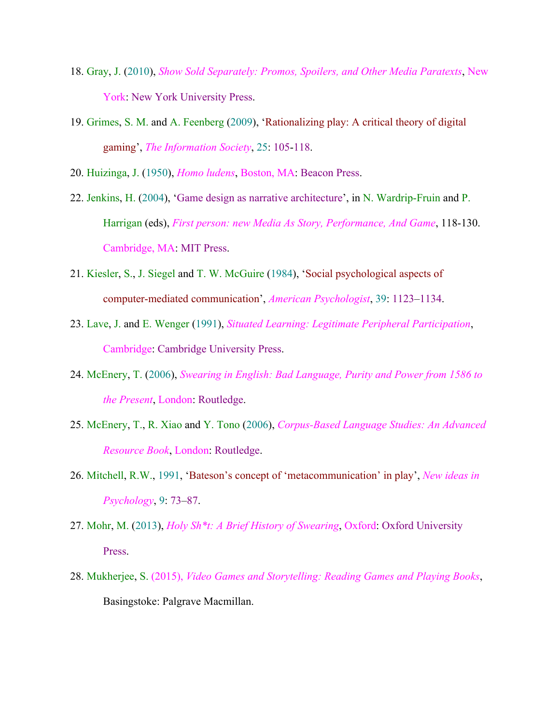- 18. Gray, J. (2010), *Show Sold Separately: Promos, Spoilers, and Other Media Paratexts*, New York: New York University Press.
- 19. Grimes, S. M. and A. Feenberg (2009), 'Rationalizing play: A critical theory of digital gaming', *The Information Society*, 25: 105-118.
- 20. Huizinga, J. (1950), *Homo ludens*, Boston, MA: Beacon Press.
- 22. Jenkins, H. (2004), 'Game design as narrative architecture', in N. Wardrip-Fruin and P. Harrigan (eds), *First person: new Media As Story, Performance, And Game*, 118-130. Cambridge, MA: MIT Press.
- 21. Kiesler, S., J. Siegel and T. W. McGuire (1984), 'Social psychological aspects of computer-mediated communication', *American Psychologist*, 39: 1123–1134.
- 23. Lave, J. and E. Wenger (1991), *Situated Learning: Legitimate Peripheral Participation*, Cambridge: Cambridge University Press.
- 24. McEnery, T. (2006), *Swearing in English: Bad Language, Purity and Power from 1586 to the Present*, London: Routledge.
- 25. McEnery, T., R. Xiao and Y. Tono (2006), *Corpus-Based Language Studies: An Advanced Resource Book*, London: Routledge.
- 26. Mitchell, R.W., 1991, 'Bateson's concept of 'metacommunication' in play', *New ideas in Psychology*, 9: 73–87.
- 27. Mohr, M. (2013), *Holy Sh\*t: A Brief History of Swearing*, Oxford: Oxford University Press.
- 28. Mukherjee, S. (2015), *Video Games and Storytelling: Reading Games and Playing Books*, Basingstoke: Palgrave Macmillan.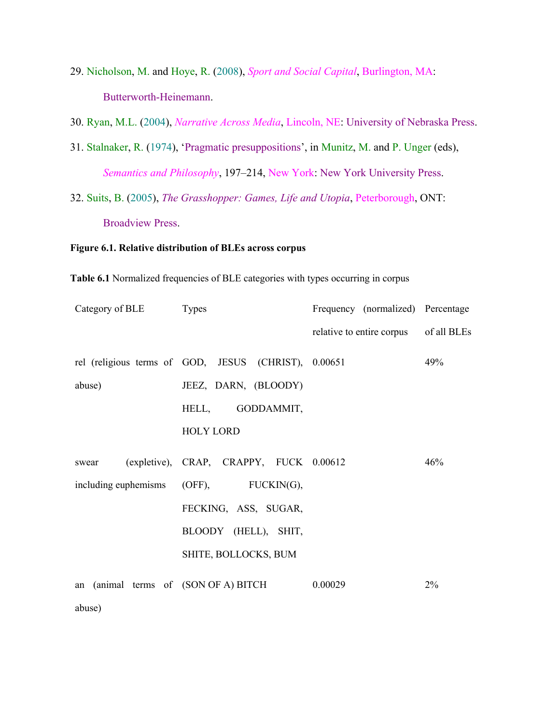- 29. Nicholson, M. and Hoye, R. (2008), *Sport and Social Capital*, Burlington, MA: Butterworth-Heinemann.
- 30. Ryan, M.L. (2004), *Narrative Across Media*, Lincoln, NE: University of Nebraska Press.
- 31. Stalnaker, R. (1974), 'Pragmatic presuppositions', in Munitz, M. and P. Unger (eds), *Semantics and Philosophy*, 197–214, New York: New York University Press.
- 32. Suits, B. (2005), *The Grasshopper: Games, Life and Utopia*, Peterborough, ONT: Broadview Press.

#### **Figure 6.1. Relative distribution of BLEs across corpus**

**Table 6.1** Normalized frequencies of BLE categories with types occurring in corpus

| Category of BLE | <b>Types</b>                                         | Frequency (normalized) Percentage     |     |
|-----------------|------------------------------------------------------|---------------------------------------|-----|
|                 |                                                      | relative to entire corpus of all BLEs |     |
|                 | rel (religious terms of GOD, JESUS (CHRIST), 0.00651 |                                       | 49% |
| abuse)          | JEEZ, DARN, (BLOODY)                                 |                                       |     |
|                 | HELL, GODDAMMIT,                                     |                                       |     |
|                 | <b>HOLY LORD</b>                                     |                                       |     |
| swear           | (expletive), CRAP, CRAPPY, FUCK 0.00612              |                                       | 46% |
|                 | including euphemisms (OFF), FUCKIN(G),               |                                       |     |
|                 | FECKING, ASS, SUGAR,                                 |                                       |     |
|                 | BLOODY (HELL), SHIT,                                 |                                       |     |
|                 | SHITE, BOLLOCKS, BUM                                 |                                       |     |
|                 | an (animal terms of (SON OF A) BITCH                 | 0.00029                               | 2%  |
| abuse)          |                                                      |                                       |     |